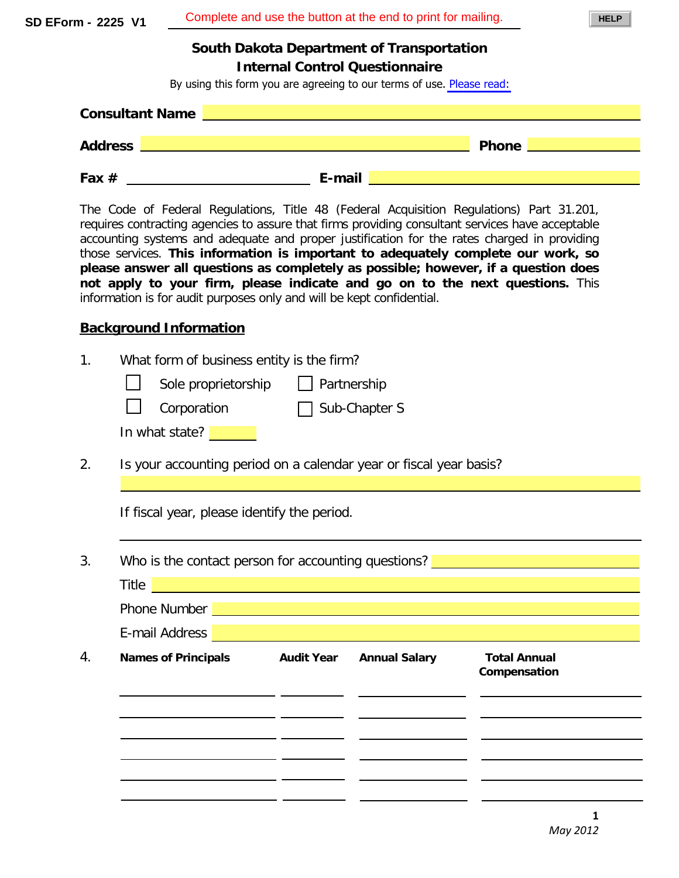**SD EForm - 2225 V1** Complete and use the button at the end to print for mailing. **South Dakota Department of Transportation Internal Control Questionnaire** By using this form you are agreeing to our terms of use. [Please read:](https://www.state.sd.us/eforms/secure/eforms/Please%20read%20eform%20information.pdf) **Consultant Name Address Phone <b>Phone 2 Phone 2 Phone 2 Phone 2 Phone 2 Phone 2 Phone** 2 **Fax # E-mail** The Code of Federal Regulations, Title 48 (Federal Acquisition Regulations) Part 31.201, requires contracting agencies to assure that firms providing consultant services have acceptable accounting systems and adequate and proper justification for the rates charged in providing those services. **This information is important to adequately complete our work, so please answer all questions as completely as possible; however, if a question does not apply to your firm, please indicate and go on to the next questions.** This information is for audit purposes only and will be kept confidential. **Background Information** 1. What form of business entity is the firm? Sole proprietorship  $\Box$  Partnership  $Corporation$  Sub-Chapter S In what state? **L** 2. Is your accounting period on a calendar year or fiscal year basis? If fiscal year, please identify the period. 3. Who is the contact person for accounting questions? <u>Same accounting</u> the set of the contact person for accounting questions? **Same and the contact of the contact Title The Company of the Company**  $\mathcal{L}(\mathcal{L}(\mathcal{L}(\mathcal{L}(\mathcal{L}(\mathcal{L}(\mathcal{L}(\mathcal{L}(\mathcal{L}(\mathcal{L}(\mathcal{L}(\mathcal{L}(\mathcal{L}(\mathcal{L}(\mathcal{L}(\mathcal{L}(\mathcal{L}(\mathcal{L}(\mathcal{L}(\mathcal{L}(\mathcal{L}(\mathcal{L}(\mathcal{L}(\mathcal{L}(\mathcal{L}(\mathcal{L}(\mathcal{L}(\mathcal{L}(\mathcal{L}(\mathcal{L}(\mathcal{L}(\mathcal{L}(\mathcal{L}(\mathcal{L}(\mathcal{L}(\mathcal{L}(\mathcal{$ Phone Number  $\mathcal{L}(\mathcal{L}(\mathcal{L}(\mathcal{L}(\mathcal{L}(\mathcal{L}(\mathcal{L}(\mathcal{L}(\mathcal{L}(\mathcal{L}(\mathcal{L}(\mathcal{L}(\mathcal{L}(\mathcal{L}(\mathcal{L}(\mathcal{L}(\mathcal{L}(\mathcal{L}(\mathcal{L}(\mathcal{L}(\mathcal{L}(\mathcal{L}(\mathcal{L}(\mathcal{L}(\mathcal{L}(\mathcal{L}(\mathcal{L}(\mathcal{L}(\mathcal{L}(\mathcal{L}(\mathcal{L}(\mathcal{L}(\mathcal{L}(\mathcal{L}(\mathcal{L}(\mathcal{L}(\mathcal{$ E-mail Address 4. **Names of Principals Audit Year Annual Salary Total Annual Compensation** <u>and a state</u>  $\overline{\phantom{a}}$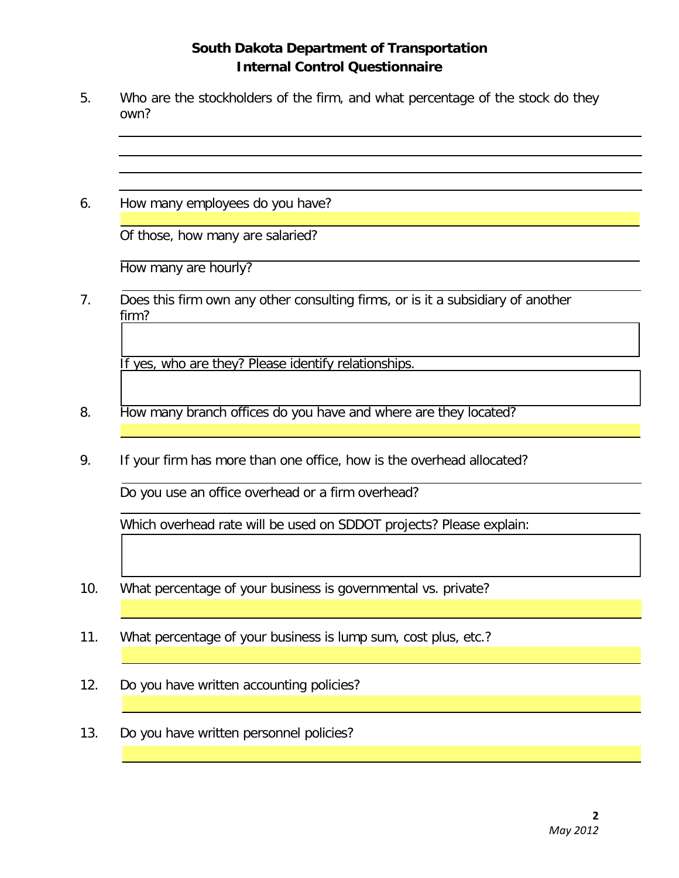- 5. Who are the stockholders of the firm, and what percentage of the stock do they own?
- 6. How many employees do you have?

Of those, how many are salaried?

How many are hourly?

7. Does this firm own any other consulting firms, or is it a subsidiary of another firm?

If yes, who are they? Please identify relationships.

- 8. How many branch offices do you have and where are they located?
- 9. If your firm has more than one office, how is the overhead allocated?

Do you use an office overhead or a firm overhead?

Which overhead rate will be used on SDDOT projects? Please explain:

- 10. What percentage of your business is governmental vs. private?
- 11. What percentage of your business is lump sum, cost plus, etc.?
- 12. Do you have written accounting policies?
- 13. Do you have written personnel policies?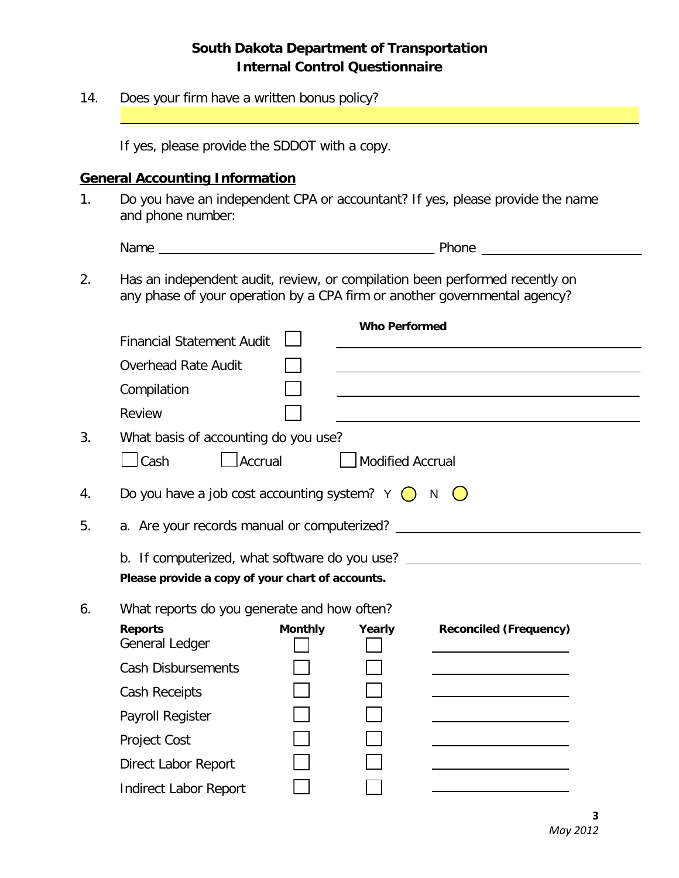| 14.                                                                                                                                  | Does your firm have a written bonus policy?                                                                                                              |                      |                  |                               |  |  |
|--------------------------------------------------------------------------------------------------------------------------------------|----------------------------------------------------------------------------------------------------------------------------------------------------------|----------------------|------------------|-------------------------------|--|--|
|                                                                                                                                      | If yes, please provide the SDDOT with a copy.                                                                                                            |                      |                  |                               |  |  |
|                                                                                                                                      | <b>General Accounting Information</b>                                                                                                                    |                      |                  |                               |  |  |
| 1.                                                                                                                                   | Do you have an independent CPA or accountant? If yes, please provide the name<br>and phone number:                                                       |                      |                  |                               |  |  |
|                                                                                                                                      |                                                                                                                                                          |                      |                  | <b>Phone Contract Phone</b>   |  |  |
| 2.                                                                                                                                   | Has an independent audit, review, or compilation been performed recently on<br>any phase of your operation by a CPA firm or another governmental agency? |                      |                  |                               |  |  |
|                                                                                                                                      |                                                                                                                                                          | <b>Who Performed</b> |                  |                               |  |  |
|                                                                                                                                      | <b>Financial Statement Audit</b>                                                                                                                         |                      |                  |                               |  |  |
|                                                                                                                                      | <b>Overhead Rate Audit</b>                                                                                                                               |                      |                  |                               |  |  |
|                                                                                                                                      | Compilation                                                                                                                                              |                      |                  |                               |  |  |
|                                                                                                                                      | Review                                                                                                                                                   |                      |                  |                               |  |  |
| 3.                                                                                                                                   | What basis of accounting do you use?                                                                                                                     |                      |                  |                               |  |  |
|                                                                                                                                      | $\Box$ Cash<br>Accrual                                                                                                                                   |                      | Modified Accrual |                               |  |  |
| 4.                                                                                                                                   | Do you have a job cost accounting system? $Y \bigcirc N \bigcirc$                                                                                        |                      |                  |                               |  |  |
| 5.                                                                                                                                   |                                                                                                                                                          |                      |                  |                               |  |  |
|                                                                                                                                      |                                                                                                                                                          |                      |                  |                               |  |  |
| b. If computerized, what software do you use? __________________________________<br>Please provide a copy of your chart of accounts. |                                                                                                                                                          |                      |                  |                               |  |  |
| 6.                                                                                                                                   | What reports do you generate and how often?                                                                                                              |                      |                  |                               |  |  |
|                                                                                                                                      | <b>Reports</b>                                                                                                                                           | <b>Monthly</b>       | Yearly           | <b>Reconciled (Frequency)</b> |  |  |
|                                                                                                                                      | General Ledger                                                                                                                                           |                      |                  |                               |  |  |
|                                                                                                                                      | <b>Cash Disbursements</b>                                                                                                                                |                      |                  |                               |  |  |
|                                                                                                                                      | <b>Cash Receipts</b>                                                                                                                                     |                      |                  |                               |  |  |
|                                                                                                                                      | Payroll Register                                                                                                                                         |                      |                  |                               |  |  |
|                                                                                                                                      | <b>Project Cost</b>                                                                                                                                      |                      |                  |                               |  |  |
|                                                                                                                                      | <b>Direct Labor Report</b>                                                                                                                               |                      |                  |                               |  |  |
|                                                                                                                                      | <b>Indirect Labor Report</b>                                                                                                                             |                      |                  |                               |  |  |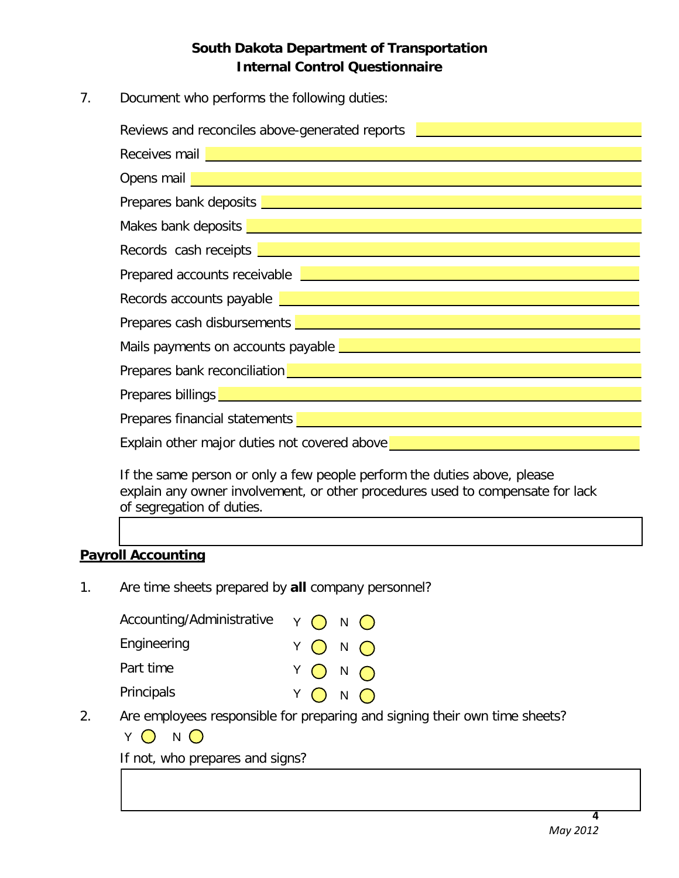7. Document who performs the following duties:

| Reviews and reconciles above-generated reports                                                                                                                                                                                       |  |  |  |  |
|--------------------------------------------------------------------------------------------------------------------------------------------------------------------------------------------------------------------------------------|--|--|--|--|
| Receives mail <b>Executive Contract of Contract Contract of Contract Contract Contract Contract Contract Contract Contract Contract Contract Contract Contract Contract Contract Contract Contract Contract Contract Contract Co</b> |  |  |  |  |
| Opens mail <b>Department of the Community of the Community</b>                                                                                                                                                                       |  |  |  |  |
| Prepares bank deposits <b>contract to the contract of the contract of the contract of the contract of the contract of the contract of the contract of the contract of the contract of the contract of the contract of the contra</b> |  |  |  |  |
| Makes bank deposits <b>Leaper and Contact and Contact and Contact and Contact and Contact and Contact and Contact and Contact and Contact and Contact and Contact and Contact and Contact and Contact and Contact and Contact an</b> |  |  |  |  |
| Records cash receipts <b>Exercía de la contracta de la contracta de la contracta de la contracta de la contracta de la contracta de la contracta de la contracta de la contracta de la contracta de la contracta de la contracta</b> |  |  |  |  |
| Prepared accounts receivable <b>Exercise and Contract and Contract and Contract and Contract and Contract and Contract and Contract and Contract and Contract and Contract and Contract and Contract and Contract and Contract a</b> |  |  |  |  |
| Records accounts payable <b>Law and Construct Constant Construct Construct Constant Constant Constant Construction</b>                                                                                                               |  |  |  |  |
| Prepares cash disbursements <b>Land Contract Contract Contract Contract Contract Contract Contract Contract Contract Contract Contract Contract Contract Contract Contract Contract Contract Contract Contract Contract Contract</b> |  |  |  |  |
| Mails payments on accounts payable <b>Lawrence and Constantine and Constantine Constantine and Constantine Constantine Constantine Constantine Constantine Constantine Constantine Constantine Constantine Constantine Constanti</b> |  |  |  |  |
| Prepares bank reconciliation <b>Definition</b> and the prepares bank reconciliation <b>COV</b>                                                                                                                                       |  |  |  |  |
| Prepares billings <b>Decision and Contract Contract and Contract Contract Contract Contract Contract Contract Contract Contract Contract Contract Contract Contract Contract Contract Contract Contract Contract Contract Contra</b> |  |  |  |  |
|                                                                                                                                                                                                                                      |  |  |  |  |
| <b>Prepares financial statements</b>                                                                                                                                                                                                 |  |  |  |  |
| Explain other major duties not covered above                                                                                                                                                                                         |  |  |  |  |

If the same person or only a few people perform the duties above, please explain any owner involvement, or other procedures used to compensate for lack of segregation of duties.

#### **Payroll Accounting**

1. Are time sheets prepared by **all** company personnel?

| Accounting/Administrative $\gamma$ $\bigcap N$ $\bigcap$ |         |
|----------------------------------------------------------|---------|
| Engineering                                              | Y O N O |
| Part time                                                | YONO    |
| Principals                                               | Y O N O |

- 2. Are employees responsible for preparing and signing their own time sheets?
	- $Y$  O N O

If not, who prepares and signs?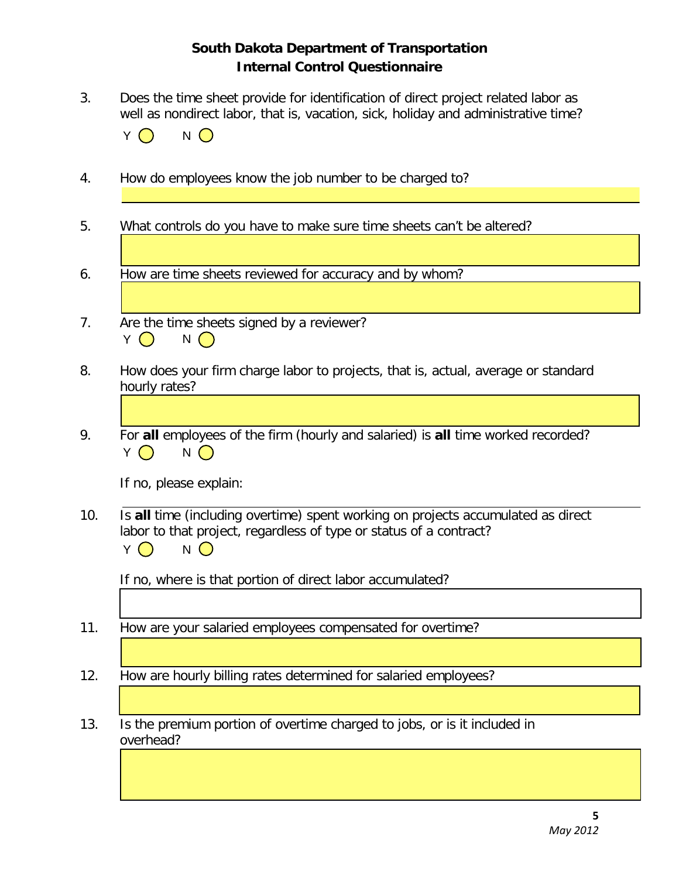3. Does the time sheet provide for identification of direct project related labor as well as nondirect labor, that is, vacation, sick, holiday and administrative time?

|  | N |
|--|---|
|--|---|

- 4. How do employees know the job number to be charged to?
- 5. What controls do you have to make sure time sheets can't be altered?
- 6. How are time sheets reviewed for accuracy and by whom?
- 7. Are the time sheets signed by a reviewer?  $Y \bigcap N \bigcap$
- 8. How does your firm charge labor to projects, that is, actual, average or standard hourly rates?
- 9. For **all** employees of the firm (hourly and salaried) is **all** time worked recorded?  $Y \bigcap N \bigcap$

If no, please explain:

10. Is **all** time (including overtime) spent working on projects accumulated as direct labor to that project, regardless of type or status of a contract?  $Y \bigcap N$ 

If no, where is that portion of direct labor accumulated?

- 11. How are your salaried employees compensated for overtime?
- 12. How are hourly billing rates determined for salaried employees?
- 13. Is the premium portion of overtime charged to jobs, or is it included in overhead?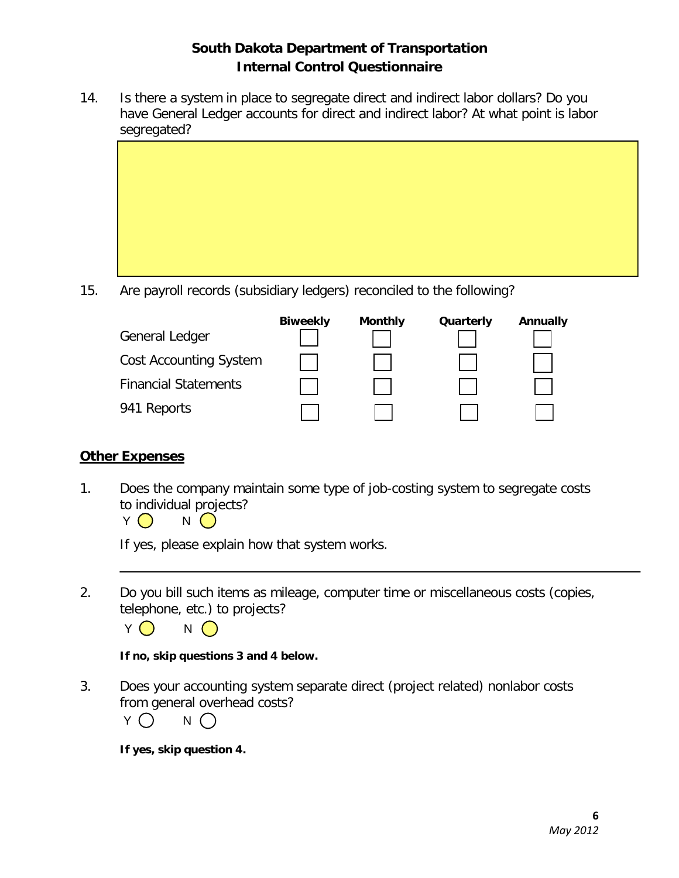14. Is there a system in place to segregate direct and indirect labor dollars? Do you have General Ledger accounts for direct and indirect labor? At what point is labor segregated?

| ັ | ັ |  |
|---|---|--|
|   |   |  |
|   |   |  |
|   |   |  |
|   |   |  |
|   |   |  |
|   |   |  |
|   |   |  |
|   |   |  |
|   |   |  |
|   |   |  |
|   |   |  |
|   |   |  |
|   |   |  |
|   |   |  |
|   |   |  |
|   |   |  |
|   |   |  |
|   |   |  |
|   |   |  |
|   |   |  |
|   |   |  |
|   |   |  |
|   |   |  |

15. Are payroll records (subsidiary ledgers) reconciled to the following?

|                               | <b>Biweekly</b> | <b>Monthly</b> | Quarterly | Annually |
|-------------------------------|-----------------|----------------|-----------|----------|
| General Ledger                |                 |                |           |          |
| <b>Cost Accounting System</b> |                 |                |           |          |
| <b>Financial Statements</b>   |                 |                |           |          |
| 941 Reports                   |                 |                |           |          |

#### **Other Expenses**

1. Does the company maintain some type of job-costing system to segregate costs to individual projects?

 $Y \bigcirc N$ 

If yes, please explain how that system works.

2. Do you bill such items as mileage, computer time or miscellaneous costs (copies, telephone, etc.) to projects?



**If no, skip questions 3 and 4 below.**

3. Does your accounting system separate direct (project related) nonlabor costs from general overhead costs?

| ◡<br>т |  | N |  |
|--------|--|---|--|
|--------|--|---|--|

**If yes, skip question 4.**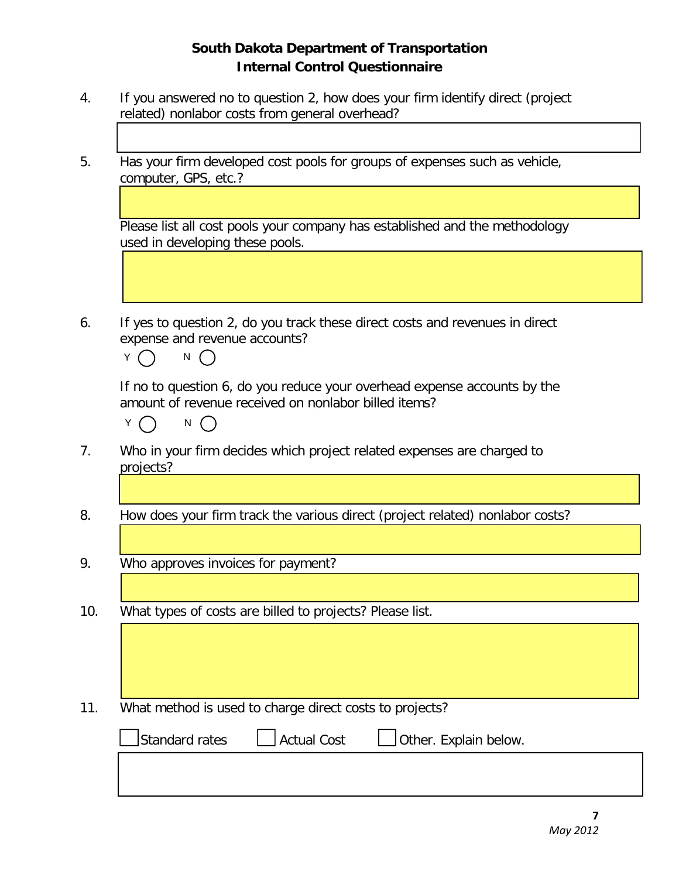- 4. If you answered no to question 2, how does your firm identify direct (project related) nonlabor costs from general overhead?
- 5. Has your firm developed cost pools for groups of expenses such as vehicle, computer, GPS, etc.?

Please list all cost pools your company has established and the methodology used in developing these pools.

6. If yes to question 2, do you track these direct costs and revenues in direct expense and revenue accounts?

 $Y \cap N$ 

If no to question 6, do you reduce your overhead expense accounts by the amount of revenue received on nonlabor billed items?



- 7. Who in your firm decides which project related expenses are charged to projects?
- 8. How does your firm track the various direct (project related) nonlabor costs?
- 9. Who approves invoices for payment?
- 10. What types of costs are billed to projects? Please list.
- 11. What method is used to charge direct costs to projects?

| Standard rates | Actual Cost | $\Box$ Other. Explain below. |  |
|----------------|-------------|------------------------------|--|
|                |             |                              |  |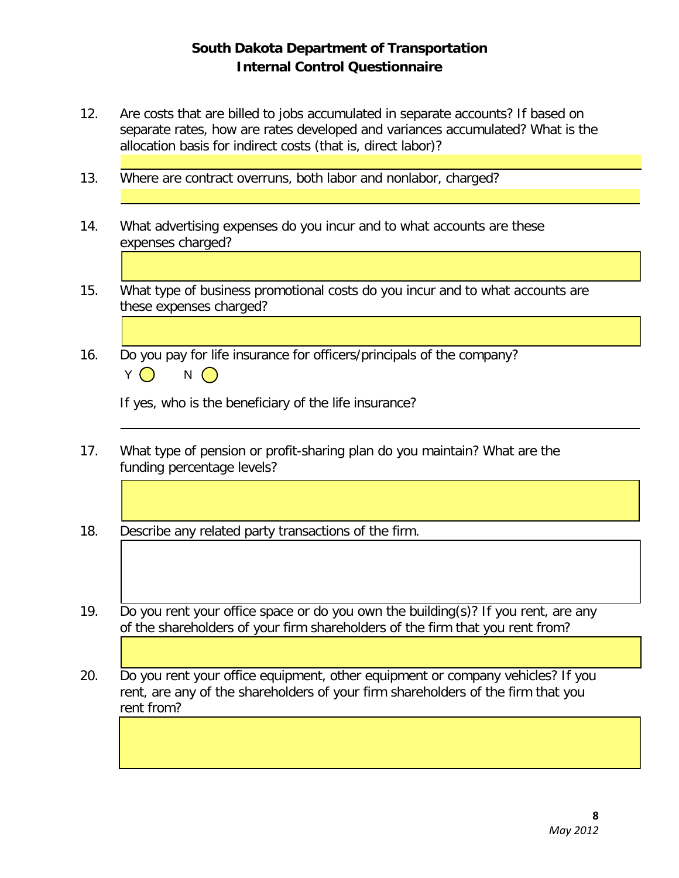- 12. Are costs that are billed to jobs accumulated in separate accounts? If based on separate rates, how are rates developed and variances accumulated? What is the allocation basis for indirect costs (that is, direct labor)?
- 13. Where are contract overruns, both labor and nonlabor, charged?
- 14. What advertising expenses do you incur and to what accounts are these expenses charged?
- 15. What type of business promotional costs do you incur and to what accounts are these expenses charged?
- 16. Do you pay for life insurance for officers/principals of the company?  $Y \bigcap N \bigcap$

If yes, who is the beneficiary of the life insurance?

- 17. What type of pension or profit-sharing plan do you maintain? What are the funding percentage levels?
- 18. Describe any related party transactions of the firm.
- 19. Do you rent your office space or do you own the building(s)? If you rent, are any of the shareholders of your firm shareholders of the firm that you rent from?
- 20. Do you rent your office equipment, other equipment or company vehicles? If you rent, are any of the shareholders of your firm shareholders of the firm that you rent from?